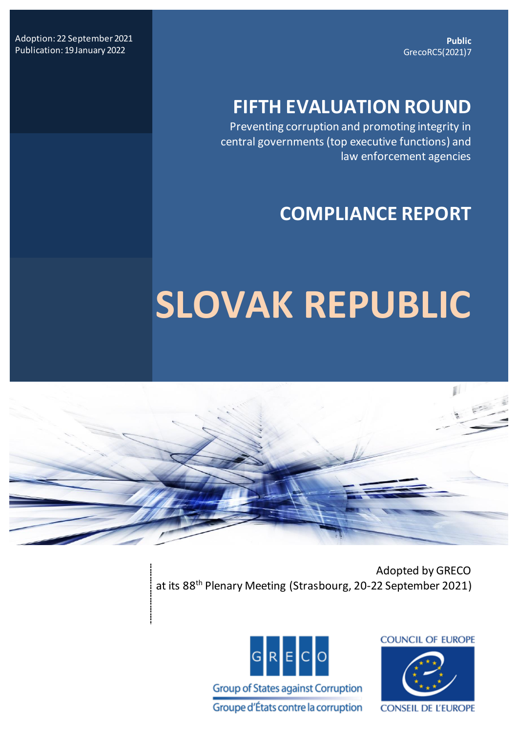**Public** GrecoRC5(2021)7

Adoption: 22 September 2021 Publication: 19 January 2022

# **FIFTH EVALUATION ROUND**

Preventing corruption and promoting integrity in central governments (top executive functions) and law enforcement agencies

# **COMPLIANCE REPORT**

# **SLOVAK REPUBLIC**



 Adopted by GRECO at its 88<sup>th</sup> Plenary Meeting (Strasbourg, 20-22 September 2021)



**COUNCIL OF EUROPE** 

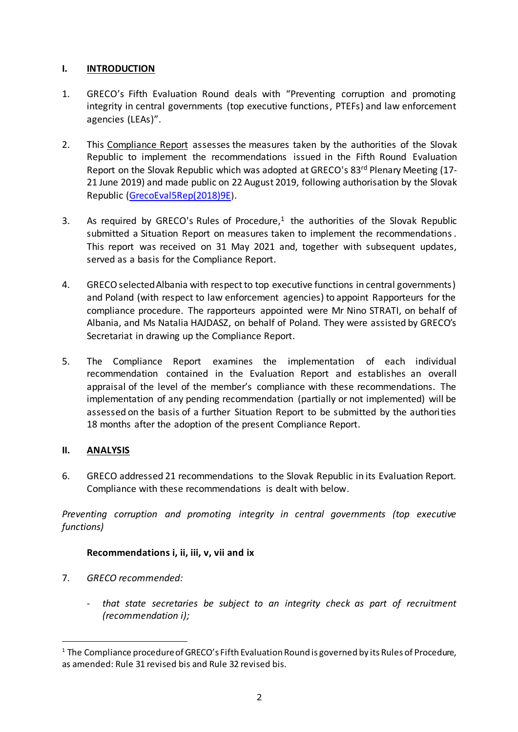# **I. INTRODUCTION**

- 1. GRECO's Fifth Evaluation Round deals with "Preventing corruption and promoting integrity in central governments (top executive functions, PTEFs) and law enforcement agencies (LEAs)".
- 2. This Compliance Report assesses the measures taken by the authorities of the Slovak Republic to implement the recommendations issued in the Fifth Round Evaluation Report on the Slovak Republic which was adopted at GRECO's 83<sup>rd</sup> Plenary Meeting (17-21 June 2019) and made public on 22 August 2019, following authorisation by the Slovak Republic [\(GrecoEval5Rep\(2018\)9E](https://rm.coe.int/grecoeval5rep-2018-9-final-eng-slovakrep-public/168096d061)).
- 3. As required by GRECO's Rules of Procedure, $<sup>1</sup>$  the authorities of the Slovak Republic</sup> submitted a Situation Report on measures taken to implement the recommendations. This report was received on 31 May 2021 and, together with subsequent updates, served as a basis for the Compliance Report.
- 4. GRECO selectedAlbania with respect to top executive functions in central governments) and Poland (with respect to law enforcement agencies) to appoint Rapporteurs for the compliance procedure. The rapporteurs appointed were Mr Nino STRATI, on behalf of Albania, and Ms Natalia HAJDASZ, on behalf of Poland. They were assisted by GRECO's Secretariat in drawing up the Compliance Report.
- 5. The Compliance Report examines the implementation of each individual recommendation contained in the Evaluation Report and establishes an overall appraisal of the level of the member's compliance with these recommendations. The implementation of any pending recommendation (partially or not implemented) will be assessed on the basis of a further Situation Report to be submitted by the authorities 18 months after the adoption of the present Compliance Report.

# **II. ANALYSIS**

 $\overline{a}$ 

6. GRECO addressed 21 recommendations to the Slovak Republic in its Evaluation Report. Compliance with these recommendations is dealt with below.

*Preventing corruption and promoting integrity in central governments (top executive functions)*

# **Recommendations i, ii, iii, v, vii and ix**

- 7. *GRECO recommended:*
	- *that state secretaries be subject to an integrity check as part of recruitment (recommendation i);*

<sup>&</sup>lt;sup>1</sup> The Compliance procedure of GRECO's Fifth Evaluation Round is governed by its Rules of Procedure, as amended: Rule 31 revised bis and Rule 32 revised bis.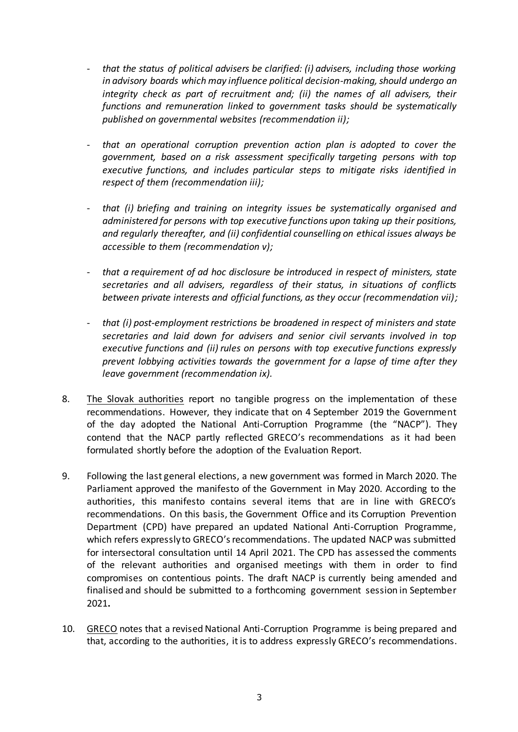- *that the status of political advisers be clarified: (i) advisers, including those working in advisory boards which may influence political decision-making, should undergo an integrity check as part of recruitment and; (ii) the names of all advisers, their functions and remuneration linked to government tasks should be systematically published on governmental websites (recommendation ii);*
- *that an operational corruption prevention action plan is adopted to cover the government, based on a risk assessment specifically targeting persons with top executive functions, and includes particular steps to mitigate risks identified in respect of them (recommendation iii);*
- *that (i) briefing and training on integrity issues be systematically organised and administered for persons with top executive functions upon taking up their positions, and regularly thereafter, and (ii) confidential counselling on ethical issues always be accessible to them (recommendation v);*
- *that a requirement of ad hoc disclosure be introduced in respect of ministers, state secretaries and all advisers, regardless of their status, in situations of conflicts between private interests and official functions, as they occur (recommendation vii);*
- *that (i) post-employment restrictions be broadened in respect of ministers and state secretaries and laid down for advisers and senior civil servants involved in top executive functions and (ii) rules on persons with top executive functions expressly prevent lobbying activities towards the government for a lapse of time after they leave government (recommendation ix).*
- 8. The Slovak authorities report no tangible progress on the implementation of these recommendations. However, they indicate that on 4 September 2019 the Government of the day adopted the National Anti-Corruption Programme (the "NACP"). They contend that the NACP partly reflected GRECO's recommendations as it had been formulated shortly before the adoption of the Evaluation Report.
- 9. Following the last general elections, a new government was formed in March 2020. The Parliament approved the manifesto of the Government in May 2020. According to the authorities, this manifesto contains several items that are in line with GRECO's recommendations. On this basis, the Government Office and its Corruption Prevention Department (CPD) have prepared an updated National Anti-Corruption Programme, which refers expressly to GRECO's recommendations. The updated NACP was submitted for intersectoral consultation until 14 April 2021. The CPD has assessed the comments of the relevant authorities and organised meetings with them in order to find compromises on contentious points. The draft NACP is currently being amended and finalised and should be submitted to a forthcoming government session in September 2021**.**
- 10. GRECO notes that a revised National Anti-Corruption Programme is being prepared and that, according to the authorities, it is to address expressly GRECO's recommendations.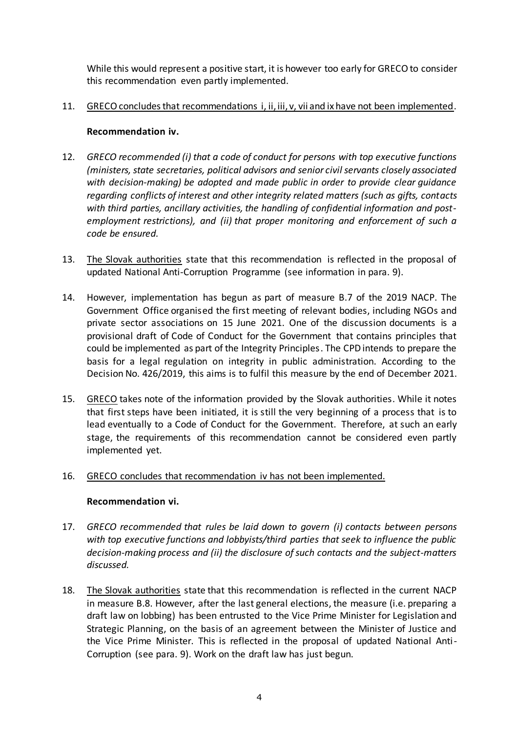While this would represent a positive start, it is however too early for GRECO to consider this recommendation even partly implemented.

11. GRECO concludes that recommendations i, ii, iii, v, vii and ix have not been implemented.

# **Recommendation iv.**

- 12. *GRECO recommended (i) that a code of conduct for persons with top executive functions (ministers, state secretaries, political advisors and senior civil servants closely associated with decision-making) be adopted and made public in order to provide clear guidance regarding conflicts of interest and other integrity related matters (such as gifts, contacts with third parties, ancillary activities, the handling of confidential information and postemployment restrictions), and (ii) that proper monitoring and enforcement of such a code be ensured.*
- 13. The Slovak authorities state that this recommendation is reflected in the proposal of updated National Anti-Corruption Programme (see information in para. 9).
- 14. However, implementation has begun as part of measure B.7 of the 2019 NACP. The Government Office organised the first meeting of relevant bodies, including NGOs and private sector associations on 15 June 2021. One of the discussion documents is a provisional draft of Code of Conduct for the Government that contains principles that could be implemented as part of the Integrity Principles. The CPD intends to prepare the basis for a legal regulation on integrity in public administration. According to the Decision No. 426/2019, this aims is to fulfil this measure by the end of December 2021.
- 15. GRECO takes note of the information provided by the Slovak authorities. While it notes that first steps have been initiated, it is still the very beginning of a process that is to lead eventually to a Code of Conduct for the Government. Therefore, at such an early stage, the requirements of this recommendation cannot be considered even partly implemented yet.
- 16. GRECO concludes that recommendation iv has not been implemented.

# **Recommendation vi.**

- 17. *GRECO recommended that rules be laid down to govern (i) contacts between persons with top executive functions and lobbyists/third parties that seek to influence the public decision-making process and (ii) the disclosure of such contacts and the subject-matters discussed.*
- 18. The Slovak authorities state that this recommendation is reflected in the current NACP in measure B.8. However, after the last general elections, the measure (i.e. preparing a draft law on lobbing) has been entrusted to the Vice Prime Minister for Legislation and Strategic Planning, on the basis of an agreement between the Minister of Justice and the Vice Prime Minister. This is reflected in the proposal of updated National Anti-Corruption (see para. 9). Work on the draft law has just begun.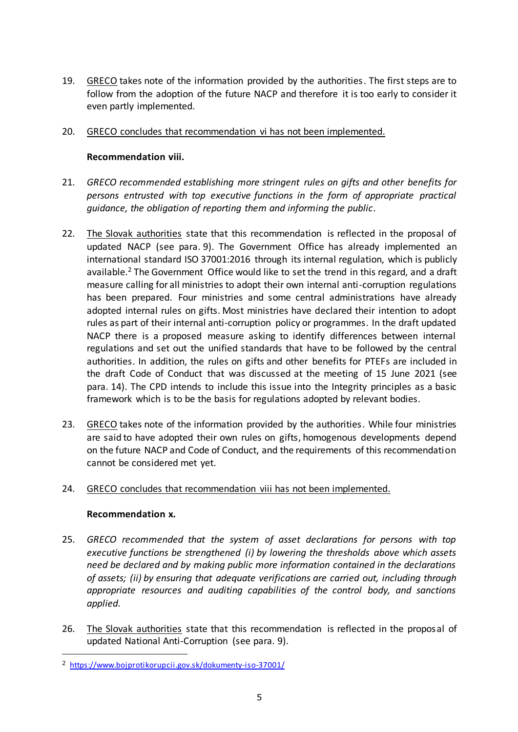19. GRECO takes note of the information provided by the authorities. The first steps are to follow from the adoption of the future NACP and therefore it is too early to consider it even partly implemented.

# 20. GRECO concludes that recommendation vi has not been implemented.

# **Recommendation viii.**

- 21. *GRECO recommended establishing more stringent rules on gifts and other benefits for persons entrusted with top executive functions in the form of appropriate practical guidance, the obligation of reporting them and informing the public.*
- 22. The Slovak authorities state that this recommendation is reflected in the proposal of updated NACP (see para. 9). The Government Office has already implemented an international standard ISO 37001:2016 through its internal regulation, which is publicly available.<sup>2</sup> The Government Office would like to set the trend in this regard, and a draft measure calling for all ministries to adopt their own internal anti-corruption regulations has been prepared. Four ministries and some central administrations have already adopted internal rules on gifts. Most ministries have declared their intention to adopt rules as part of their internal anti-corruption policy or programmes. In the draft updated NACP there is a proposed measure asking to identify differences between internal regulations and set out the unified standards that have to be followed by the central authorities. In addition, the rules on gifts and other benefits for PTEFs are included in the draft Code of Conduct that was discussed at the meeting of 15 June 2021 (see para. 14). The CPD intends to include this issue into the Integrity principles as a basic framework which is to be the basis for regulations adopted by relevant bodies.
- 23. GRECO takes note of the information provided by the authorities. While four ministries are said to have adopted their own rules on gifts, homogenous developments depend on the future NACP and Code of Conduct, and the requirements of this recommendation cannot be considered met yet.

# 24. GRECO concludes that recommendation viii has not been implemented.

# **Recommendation x.**

 $\overline{a}$ 

- 25. *GRECO recommended that the system of asset declarations for persons with top executive functions be strengthened (i) by lowering the thresholds above which assets need be declared and by making public more information contained in the declarations of assets; (ii) by ensuring that adequate verifications are carried out, including through appropriate resources and auditing capabilities of the control body, and sanctions applied.*
- 26. The Slovak authorities state that this recommendation is reflected in the proposal of updated National Anti-Corruption (see para. 9).

<sup>2</sup> <https://www.bojprotikorupcii.gov.sk/dokumenty-iso-37001/>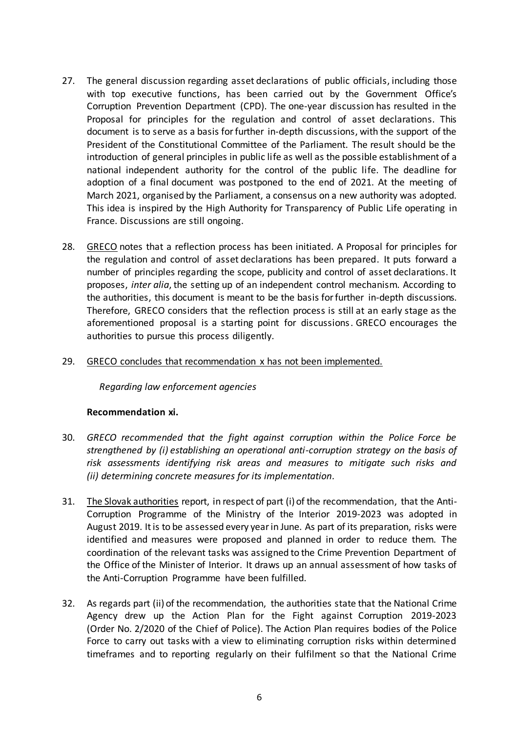- 27. The general discussion regarding asset declarations of public officials, including those with top executive functions, has been carried out by the Government Office's Corruption Prevention Department (CPD). The one-year discussion has resulted in the Proposal for principles for the regulation and control of asset declarations. This document is to serve as a basis for further in-depth discussions, with the support of the President of the Constitutional Committee of the Parliament. The result should be the introduction of general principles in public life as well as the possible establishment of a national independent authority for the control of the public life. The deadline for adoption of a final document was postponed to the end of 2021. At the meeting of March 2021, organised by the Parliament, a consensus on a new authority was adopted. This idea is inspired by the High Authority for Transparency of Public Life operating in France. Discussions are still ongoing.
- 28. GRECO notes that a reflection process has been initiated. A Proposal for principles for the regulation and control of asset declarations has been prepared. It puts forward a number of principles regarding the scope, publicity and control of asset declarations. It proposes, *inter alia*, the setting up of an independent control mechanism. According to the authorities, this document is meant to be the basis for further in-depth discussions. Therefore, GRECO considers that the reflection process is still at an early stage as the aforementioned proposal is a starting point for discussions. GRECO encourages the authorities to pursue this process diligently.
- 29. GRECO concludes that recommendation x has not been implemented.

*Regarding law enforcement agencies*

#### **Recommendation xi.**

- 30. *GRECO recommended that the fight against corruption within the Police Force be strengthened by (i) establishing an operational anti-corruption strategy on the basis of risk assessments identifying risk areas and measures to mitigate such risks and (ii) determining concrete measures for its implementation.*
- 31. The Slovak authorities report, in respect of part (i) of the recommendation, that the Anti-Corruption Programme of the Ministry of the Interior 2019-2023 was adopted in August 2019. It is to be assessed every year in June. As part of its preparation, risks were identified and measures were proposed and planned in order to reduce them. The coordination of the relevant tasks was assigned to the Crime Prevention Department of the Office of the Minister of Interior. It draws up an annual assessment of how tasks of the Anti-Corruption Programme have been fulfilled.
- 32. As regards part (ii) of the recommendation, the authorities state that the National Crime Agency drew up the Action Plan for the Fight against Corruption 2019-2023 (Order No. 2/2020 of the Chief of Police). The Action Plan requires bodies of the Police Force to carry out tasks with a view to eliminating corruption risks within determined timeframes and to reporting regularly on their fulfilment so that the National Crime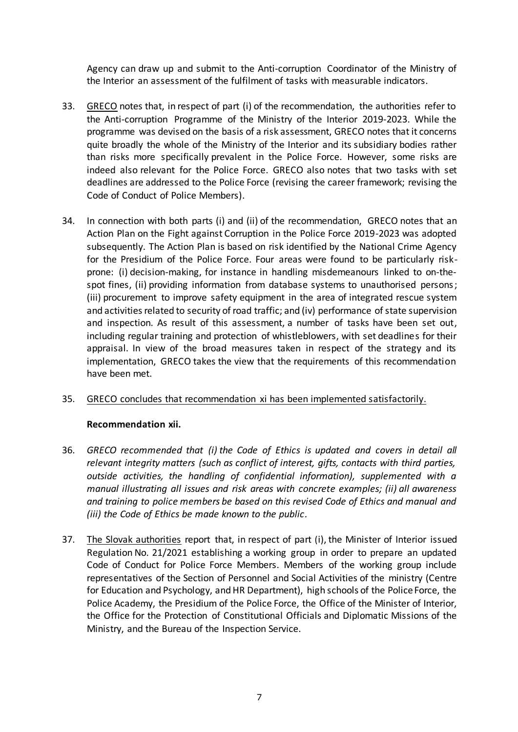Agency can draw up and submit to the Anti-corruption Coordinator of the Ministry of the Interior an assessment of the fulfilment of tasks with measurable indicators.

- 33. GRECO notes that, in respect of part (i) of the recommendation, the authorities refer to the Anti-corruption Programme of the Ministry of the Interior 2019-2023. While the programme was devised on the basis of a risk assessment, GRECO notes that it concerns quite broadly the whole of the Ministry of the Interior and its subsidiary bodies rather than risks more specifically prevalent in the Police Force. However, some risks are indeed also relevant for the Police Force. GRECO also notes that two tasks with set deadlines are addressed to the Police Force (revising the career framework; revising the Code of Conduct of Police Members).
- 34. In connection with both parts (i) and (ii) of the recommendation, GRECO notes that an Action Plan on the Fight against Corruption in the Police Force 2019-2023 was adopted subsequently. The Action Plan is based on risk identified by the National Crime Agency for the Presidium of the Police Force. Four areas were found to be particularly riskprone: (i) decision-making, for instance in handling misdemeanours linked to on-thespot fines, (ii) providing information from database systems to unauthorised persons; (iii) procurement to improve safety equipment in the area of integrated rescue system and activities related to security of road traffic; and (iv) performance of state supervision and inspection. As result of this assessment, a number of tasks have been set out, including regular training and protection of whistleblowers, with set deadlines for their appraisal. In view of the broad measures taken in respect of the strategy and its implementation, GRECO takes the view that the requirements of this recommendation have been met.

# 35. GRECO concludes that recommendation xi has been implemented satisfactorily.

#### **Recommendation xii.**

- 36. *GRECO recommended that (i) the Code of Ethics is updated and covers in detail all relevant integrity matters (such as conflict of interest, gifts, contacts with third parties, outside activities, the handling of confidential information), supplemented with a manual illustrating all issues and risk areas with concrete examples; (ii) all awareness and training to police members be based on this revised Code of Ethics and manual and (iii) the Code of Ethics be made known to the public.*
- 37. The Slovak authorities report that, in respect of part (i), the Minister of Interior issued Regulation No. 21/2021 establishing a working group in order to prepare an updated Code of Conduct for Police Force Members. Members of the working group include representatives of the Section of Personnel and Social Activities of the ministry (Centre for Education and Psychology, and HR Department), high schools of the Police Force, the Police Academy, the Presidium of the Police Force, the Office of the Minister of Interior, the Office for the Protection of Constitutional Officials and Diplomatic Missions of the Ministry, and the Bureau of the Inspection Service.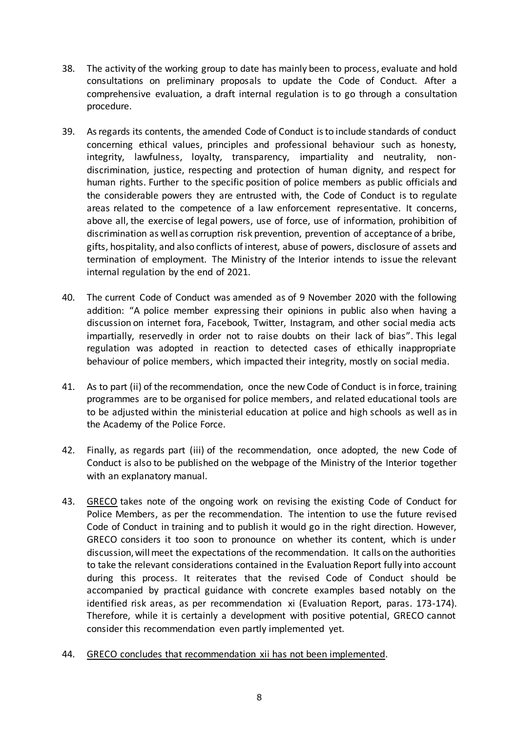- 38. The activity of the working group to date has mainly been to process, evaluate and hold consultations on preliminary proposals to update the Code of Conduct. After a comprehensive evaluation, a draft internal regulation is to go through a consultation procedure.
- 39. As regards its contents, the amended Code of Conduct is to include standards of conduct concerning ethical values, principles and professional behaviour such as honesty, integrity, lawfulness, loyalty, transparency, impartiality and neutrality, nondiscrimination, justice, respecting and protection of human dignity, and respect for human rights. Further to the specific position of police members as public officials and the considerable powers they are entrusted with, the Code of Conduct is to regulate areas related to the competence of a law enforcement representative. It concerns, above all, the exercise of legal powers, use of force, use of information, prohibition of discrimination as well as corruption risk prevention, prevention of acceptance of a bribe, gifts, hospitality, and also conflicts of interest, abuse of powers, disclosure of assets and termination of employment. The Ministry of the Interior intends to issue the relevant internal regulation by the end of 2021.
- 40. The current Code of Conduct was amended as of 9 November 2020 with the following addition: "A police member expressing their opinions in public also when having a discussion on internet fora, Facebook, Twitter, Instagram, and other social media acts impartially, reservedly in order not to raise doubts on their lack of bias". This legal regulation was adopted in reaction to detected cases of ethically inappropriate behaviour of police members, which impacted their integrity, mostly on social media.
- 41. As to part (ii) of the recommendation, once the new Code of Conduct is in force, training programmes are to be organised for police members, and related educational tools are to be adjusted within the ministerial education at police and high schools as well as in the Academy of the Police Force.
- 42. Finally, as regards part (iii) of the recommendation, once adopted, the new Code of Conduct is also to be published on the webpage of the Ministry of the Interior together with an explanatory manual.
- 43. GRECO takes note of the ongoing work on revising the existing Code of Conduct for Police Members, as per the recommendation. The intention to use the future revised Code of Conduct in training and to publish it would go in the right direction. However, GRECO considers it too soon to pronounce on whether its content, which is under discussion, will meet the expectations of the recommendation. It calls on the authorities to take the relevant considerations contained in the Evaluation Report fully into account during this process. It reiterates that the revised Code of Conduct should be accompanied by practical guidance with concrete examples based notably on the identified risk areas, as per recommendation xi (Evaluation Report, paras. 173-174). Therefore, while it is certainly a development with positive potential, GRECO cannot consider this recommendation even partly implemented yet.
- 44. GRECO concludes that recommendation xii has not been implemented.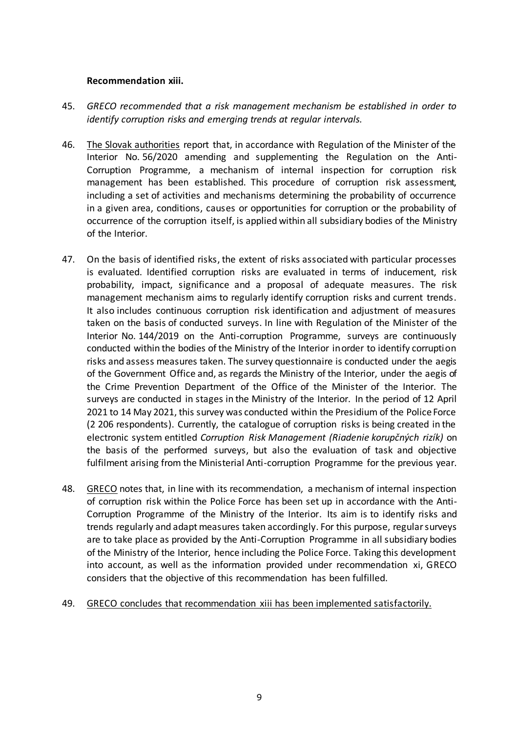#### **Recommendation xiii.**

- 45. *GRECO recommended that a risk management mechanism be established in order to identify corruption risks and emerging trends at regular intervals.*
- 46. The Slovak authorities report that, in accordance with Regulation of the Minister of the Interior No. 56/2020 amending and supplementing the Regulation on the Anti-Corruption Programme, a mechanism of internal inspection for corruption risk management has been established. This procedure of corruption risk assessment, including a set of activities and mechanisms determining the probability of occurrence in a given area, conditions, causes or opportunities for corruption or the probability of occurrence of the corruption itself, is applied within all subsidiary bodies of the Ministry of the Interior.
- 47. On the basis of identified risks, the extent of risks associated with particular processes is evaluated. Identified corruption risks are evaluated in terms of inducement, risk probability, impact, significance and a proposal of adequate measures. The risk management mechanism aims to regularly identify corruption risks and current trends. It also includes continuous corruption risk identification and adjustment of measures taken on the basis of conducted surveys. In line with Regulation of the Minister of the Interior No. 144/2019 on the Anti-corruption Programme, surveys are continuously conducted within the bodies of the Ministry of the Interior in order to identify corruption risks and assess measures taken. The survey questionnaire is conducted under the aegis of the Government Office and, as regards the Ministry of the Interior, under the aegis of the Crime Prevention Department of the Office of the Minister of the Interior. The surveys are conducted in stages in the Ministry of the Interior. In the period of 12 April 2021 to 14 May 2021, this survey was conducted within the Presidium of the Police Force (2 206 respondents). Currently, the catalogue of corruption risks is being created in the electronic system entitled *Corruption Risk Management (Riadenie korupčných rizík)* on the basis of the performed surveys, but also the evaluation of task and objective fulfilment arising from the Ministerial Anti-corruption Programme for the previous year.
- 48. GRECO notes that, in line with its recommendation, a mechanism of internal inspection of corruption risk within the Police Force has been set up in accordance with the Anti-Corruption Programme of the Ministry of the Interior. Its aim is to identify risks and trends regularly and adapt measures taken accordingly. For this purpose, regular surveys are to take place as provided by the Anti-Corruption Programme in all subsidiary bodies of the Ministry of the Interior, hence including the Police Force. Taking this development into account, as well as the information provided under recommendation xi, GRECO considers that the objective of this recommendation has been fulfilled.
- 49. GRECO concludes that recommendation xiii has been implemented satisfactorily.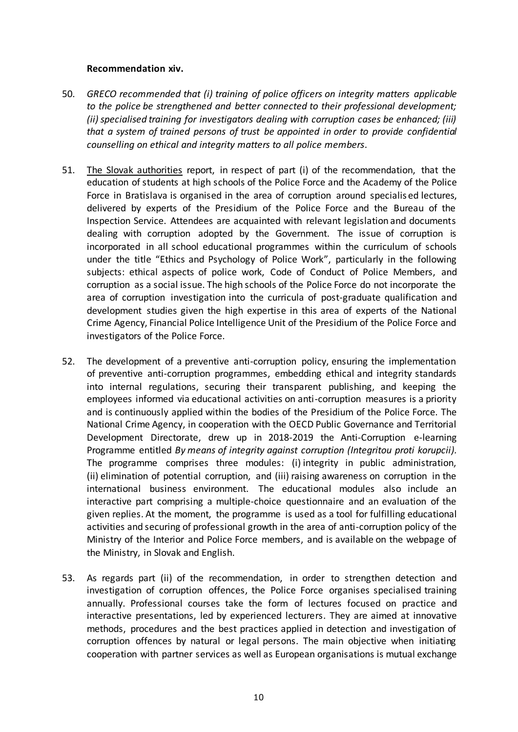#### **Recommendation xiv.**

- 50. *GRECO recommended that (i) training of police officers on integrity matters applicable to the police be strengthened and better connected to their professional development; (ii) specialised training for investigators dealing with corruption cases be enhanced; (iii) that a system of trained persons of trust be appointed in order to provide confidential counselling on ethical and integrity matters to all police members.*
- 51. The Slovak authorities report, in respect of part (i) of the recommendation, that the education of students at high schools of the Police Force and the Academy of the Police Force in Bratislava is organised in the area of corruption around specialis ed lectures, delivered by experts of the Presidium of the Police Force and the Bureau of the Inspection Service. Attendees are acquainted with relevant legislation and documents dealing with corruption adopted by the Government. The issue of corruption is incorporated in all school educational programmes within the curriculum of schools under the title "Ethics and Psychology of Police Work", particularly in the following subjects: ethical aspects of police work, Code of Conduct of Police Members, and corruption as a social issue. The high schools of the Police Force do not incorporate the area of corruption investigation into the curricula of post-graduate qualification and development studies given the high expertise in this area of experts of the National Crime Agency, Financial Police Intelligence Unit of the Presidium of the Police Force and investigators of the Police Force.
- 52. The development of a preventive anti-corruption policy, ensuring the implementation of preventive anti-corruption programmes, embedding ethical and integrity standards into internal regulations, securing their transparent publishing, and keeping the employees informed via educational activities on anti-corruption measures is a priority and is continuously applied within the bodies of the Presidium of the Police Force. The National Crime Agency, in cooperation with the OECD Public Governance and Territorial Development Directorate, drew up in 2018-2019 the Anti-Corruption e-learning Programme entitled *By means of integrity against corruption (Integritou proti korupcii).* The programme comprises three modules: (i) integrity in public administration, (ii) elimination of potential corruption, and (iii) raising awareness on corruption in the international business environment. The educational modules also include an interactive part comprising a multiple-choice questionnaire and an evaluation of the given replies. At the moment, the programme is used as a tool for fulfilling educational activities and securing of professional growth in the area of anti-corruption policy of the Ministry of the Interior and Police Force members, and is available on the webpage of the Ministry, in Slovak and English.
- 53. As regards part (ii) of the recommendation, in order to strengthen detection and investigation of corruption offences, the Police Force organises specialised training annually. Professional courses take the form of lectures focused on practice and interactive presentations, led by experienced lecturers. They are aimed at innovative methods, procedures and the best practices applied in detection and investigation of corruption offences by natural or legal persons. The main objective when initiating cooperation with partner services as well as European organisations is mutual exchange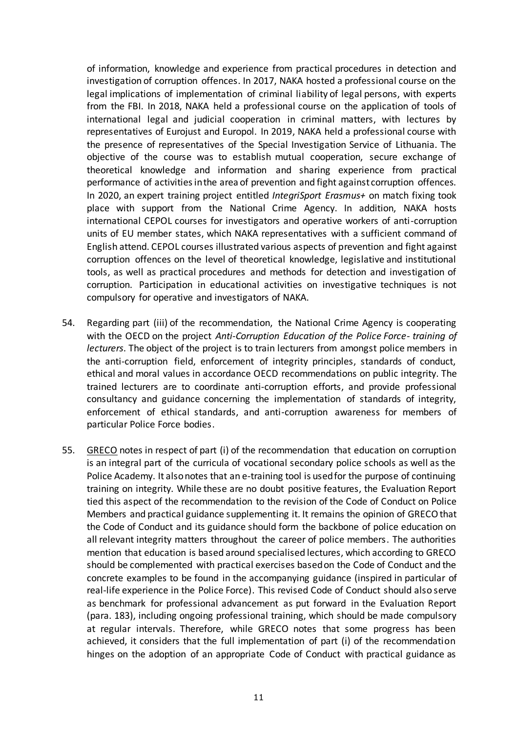of information, knowledge and experience from practical procedures in detection and investigation of corruption offences. In 2017, NAKA hosted a professional course on the legal implications of implementation of criminal liability of legal persons, with experts from the FBI. In 2018, NAKA held a professional course on the application of tools of international legal and judicial cooperation in criminal matters, with lectures by representatives of Eurojust and Europol. In 2019, NAKA held a professional course with the presence of representatives of the Special Investigation Service of Lithuania. The objective of the course was to establish mutual cooperation, secure exchange of theoretical knowledge and information and sharing experience from practical performance of activities in the area of prevention and fight against corruption offences. In 2020, an expert training project entitled *IntegriSport Erasmus+* on match fixing took place with support from the National Crime Agency. In addition, NAKA hosts international CEPOL courses for investigators and operative workers of anti-corruption units of EU member states, which NAKA representatives with a sufficient command of English attend. CEPOL courses illustrated various aspects of prevention and fight against corruption offences on the level of theoretical knowledge, legislative and institutional tools, as well as practical procedures and methods for detection and investigation of corruption. Participation in educational activities on investigative techniques is not compulsory for operative and investigators of NAKA.

- 54. Regarding part (iii) of the recommendation, the National Crime Agency is cooperating with the OECD on the project *Anti-Corruption Education of the Police Force- training of lecturers*. The object of the project is to train lecturers from amongst police members in the anti-corruption field, enforcement of integrity principles, standards of conduct, ethical and moral values in accordance OECD recommendations on public integrity. The trained lecturers are to coordinate anti-corruption efforts, and provide professional consultancy and guidance concerning the implementation of standards of integrity, enforcement of ethical standards, and anti-corruption awareness for members of particular Police Force bodies.
- 55. GRECO notes in respect of part (i) of the recommendation that education on corruption is an integral part of the curricula of vocational secondary police schools as well as the Police Academy. It also notes that an e-training tool is used for the purpose of continuing training on integrity. While these are no doubt positive features, the Evaluation Report tied this aspect of the recommendation to the revision of the Code of Conduct on Police Members and practical guidance supplementing it. It remains the opinion of GRECO that the Code of Conduct and its guidance should form the backbone of police education on all relevant integrity matters throughout the career of police members. The authorities mention that education is based around specialised lectures, which according to GRECO should be complemented with practical exercises based on the Code of Conduct and the concrete examples to be found in the accompanying guidance (inspired in particular of real-life experience in the Police Force). This revised Code of Conduct should also serve as benchmark for professional advancement as put forward in the Evaluation Report (para. 183), including ongoing professional training, which should be made compulsory at regular intervals. Therefore, while GRECO notes that some progress has been achieved, it considers that the full implementation of part (i) of the recommendation hinges on the adoption of an appropriate Code of Conduct with practical guidance as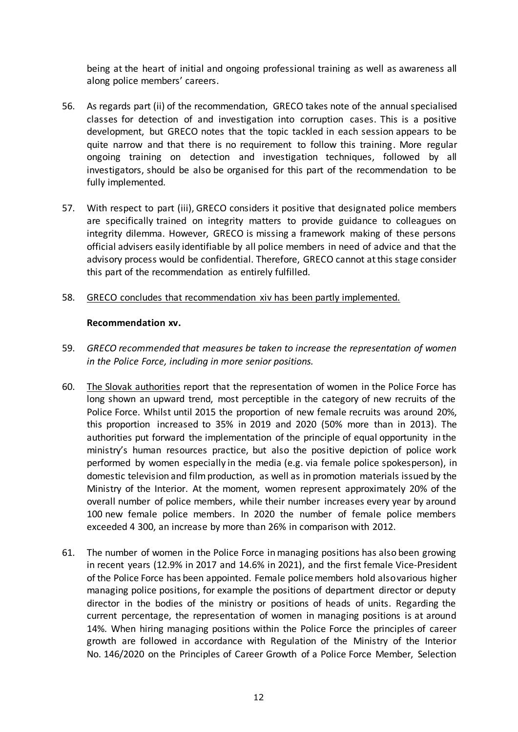being at the heart of initial and ongoing professional training as well as awareness all along police members' careers.

- 56. As regards part (ii) of the recommendation, GRECO takes note of the annual specialised classes for detection of and investigation into corruption cases. This is a positive development, but GRECO notes that the topic tackled in each session appears to be quite narrow and that there is no requirement to follow this training. More regular ongoing training on detection and investigation techniques, followed by all investigators, should be also be organised for this part of the recommendation to be fully implemented.
- 57. With respect to part (iii), GRECO considers it positive that designated police members are specifically trained on integrity matters to provide guidance to colleagues on integrity dilemma. However, GRECO is missing a framework making of these persons official advisers easily identifiable by all police members in need of advice and that the advisory process would be confidential. Therefore, GRECO cannot at this stage consider this part of the recommendation as entirely fulfilled.
- 58. GRECO concludes that recommendation xiv has been partly implemented.

# **Recommendation xv.**

- 59. *GRECO recommended that measures be taken to increase the representation of women in the Police Force, including in more senior positions.*
- 60. The Slovak authorities report that the representation of women in the Police Force has long shown an upward trend, most perceptible in the category of new recruits of the Police Force. Whilst until 2015 the proportion of new female recruits was around 20%, this proportion increased to 35% in 2019 and 2020 (50% more than in 2013). The authorities put forward the implementation of the principle of equal opportunity in the ministry's human resources practice, but also the positive depiction of police work performed by women especially in the media (e.g. via female police spokesperson), in domestic television and film production, as well as in promotion materials issued by the Ministry of the Interior. At the moment, women represent approximately 20% of the overall number of police members, while their number increases every year by around 100 new female police members. In 2020 the number of female police members exceeded 4 300, an increase by more than 26% in comparison with 2012.
- 61. The number of women in the Police Force in managing positions has also been growing in recent years (12.9% in 2017 and 14.6% in 2021), and the first female Vice-President of the Police Force has been appointed. Female police members hold also various higher managing police positions, for example the positions of department director or deputy director in the bodies of the ministry or positions of heads of units. Regarding the current percentage, the representation of women in managing positions is at around 14%. When hiring managing positions within the Police Force the principles of career growth are followed in accordance with Regulation of the Ministry of the Interior No. 146/2020 on the Principles of Career Growth of a Police Force Member, Selection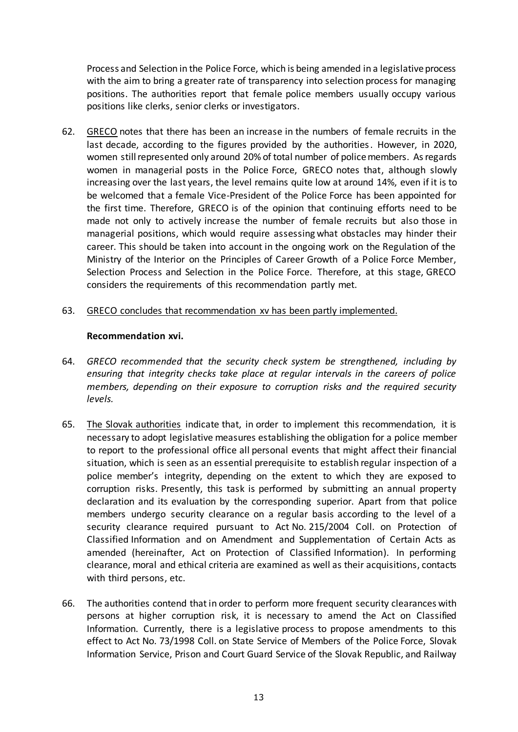Process and Selection in the Police Force, which is being amended in a legislative process with the aim to bring a greater rate of transparency into selection process for managing positions. The authorities report that female police members usually occupy various positions like clerks, senior clerks or investigators.

- 62. GRECO notes that there has been an increase in the numbers of female recruits in the last decade, according to the figures provided by the authorities. However, in 2020, women still represented only around 20% of total number of police members. As regards women in managerial posts in the Police Force, GRECO notes that, although slowly increasing over the last years, the level remains quite low at around 14%, even if it is to be welcomed that a female Vice-President of the Police Force has been appointed for the first time. Therefore, GRECO is of the opinion that continuing efforts need to be made not only to actively increase the number of female recruits but also those in managerial positions, which would require assessing what obstacles may hinder their career. This should be taken into account in the ongoing work on the Regulation of the Ministry of the Interior on the Principles of Career Growth of a Police Force Member, Selection Process and Selection in the Police Force. Therefore, at this stage, GRECO considers the requirements of this recommendation partly met.
- 63. GRECO concludes that recommendation xv has been partly implemented.

#### **Recommendation xvi.**

- 64. *GRECO recommended that the security check system be strengthened, including by ensuring that integrity checks take place at regular intervals in the careers of police members, depending on their exposure to corruption risks and the required security levels.*
- 65. The Slovak authorities indicate that, in order to implement this recommendation, it is necessary to adopt legislative measures establishing the obligation for a police member to report to the professional office all personal events that might affect their financial situation, which is seen as an essential prerequisite to establish regular inspection of a police member's integrity, depending on the extent to which they are exposed to corruption risks. Presently, this task is performed by submitting an annual property declaration and its evaluation by the corresponding superior. Apart from that police members undergo security clearance on a regular basis according to the level of a security clearance required pursuant to Act No. 215/2004 Coll. on Protection of Classified Information and on Amendment and Supplementation of Certain Acts as amended (hereinafter, Act on Protection of Classified Information). In performing clearance, moral and ethical criteria are examined as well as their acquisitions, contacts with third persons, etc.
- 66. The authorities contend that in order to perform more frequent security clearances with persons at higher corruption risk, it is necessary to amend the Act on Classified Information. Currently, there is a legislative process to propose amendments to this effect to Act No. 73/1998 Coll. on State Service of Members of the Police Force, Slovak Information Service, Prison and Court Guard Service of the Slovak Republic, and Railway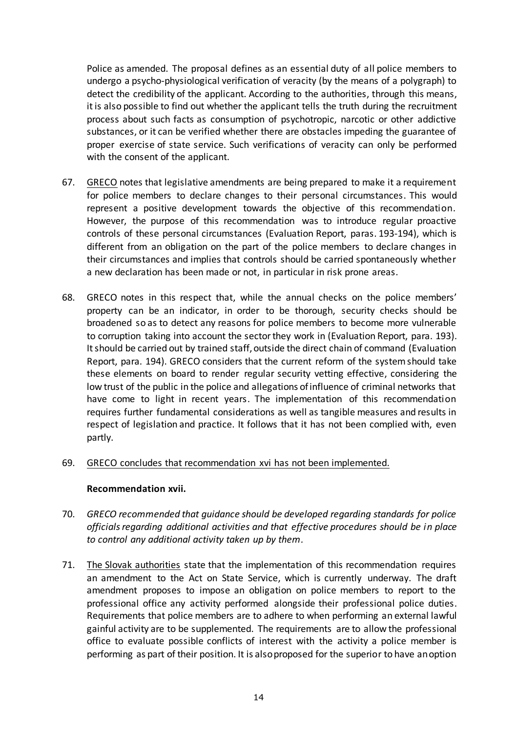Police as amended. The proposal defines as an essential duty of all police members to undergo a psycho-physiological verification of veracity (by the means of a polygraph) to detect the credibility of the applicant. According to the authorities, through this means, it is also possible to find out whether the applicant tells the truth during the recruitment process about such facts as consumption of psychotropic, narcotic or other addictive substances, or it can be verified whether there are obstacles impeding the guarantee of proper exercise of state service. Such verifications of veracity can only be performed with the consent of the applicant.

- 67. GRECO notes that legislative amendments are being prepared to make it a requirement for police members to declare changes to their personal circumstances. This would represent a positive development towards the objective of this recommendation. However, the purpose of this recommendation was to introduce regular proactive controls of these personal circumstances (Evaluation Report, paras. 193-194), which is different from an obligation on the part of the police members to declare changes in their circumstances and implies that controls should be carried spontaneously whether a new declaration has been made or not, in particular in risk prone areas.
- 68. GRECO notes in this respect that, while the annual checks on the police members' property can be an indicator, in order to be thorough, security checks should be broadened so as to detect any reasons for police members to become more vulnerable to corruption taking into account the sector they work in (Evaluation Report, para. 193). It should be carried out by trained staff, outside the direct chain of command (Evaluation Report, para. 194). GRECO considers that the current reform of the system should take these elements on board to render regular security vetting effective, considering the low trust of the public in the police and allegations of influence of criminal networks that have come to light in recent years. The implementation of this recommendation requires further fundamental considerations as well as tangible measures and results in respect of legislation and practice. It follows that it has not been complied with, even partly.
- 69. GRECO concludes that recommendation xvi has not been implemented.

# **Recommendation xvii.**

- 70. *GRECO recommended that guidance should be developed regarding standards for police officials regarding additional activities and that effective procedures should be in place to control any additional activity taken up by them.*
- 71. The Slovak authorities state that the implementation of this recommendation requires an amendment to the Act on State Service, which is currently underway. The draft amendment proposes to impose an obligation on police members to report to the professional office any activity performed alongside their professional police duties. Requirements that police members are to adhere to when performing an external lawful gainful activity are to be supplemented. The requirements are to allow the professional office to evaluate possible conflicts of interest with the activity a police member is performing as part of their position. It is also proposed for the superior to have an option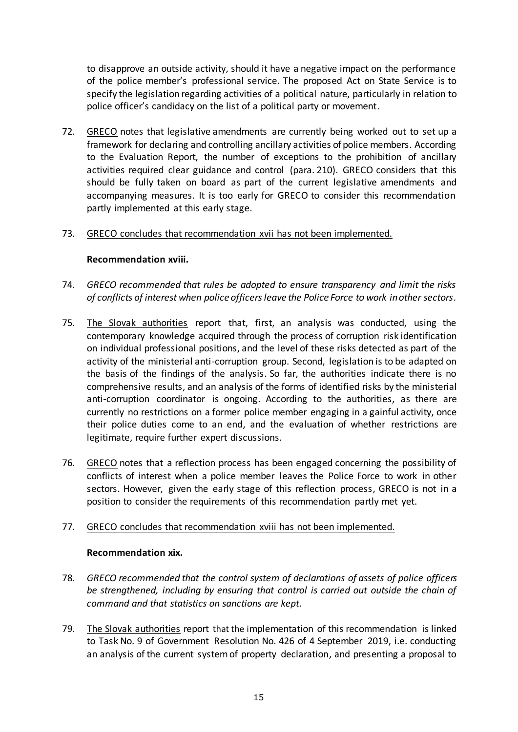to disapprove an outside activity, should it have a negative impact on the performance of the police member's professional service. The proposed Act on State Service is to specify the legislation regarding activities of a political nature, particularly in relation to police officer's candidacy on the list of a political party or movement.

72. GRECO notes that legislative amendments are currently being worked out to set up a framework for declaring and controlling ancillary activities of police members. According to the Evaluation Report, the number of exceptions to the prohibition of ancillary activities required clear guidance and control (para. 210). GRECO considers that this should be fully taken on board as part of the current legislative amendments and accompanying measures. It is too early for GRECO to consider this recommendation partly implemented at this early stage.

# 73. GRECO concludes that recommendation xvii has not been implemented.

# **Recommendation xviii.**

- 74. *GRECO recommended that rules be adopted to ensure transparency and limit the risks of conflicts of interest when police officers leave the Police Force to work in other sectors.*
- 75. The Slovak authorities report that, first, an analysis was conducted, using the contemporary knowledge acquired through the process of corruption risk identification on individual professional positions, and the level of these risks detected as part of the activity of the ministerial anti-corruption group. Second, legislation is to be adapted on the basis of the findings of the analysis. So far, the authorities indicate there is no comprehensive results, and an analysis of the forms of identified risks by the ministerial anti-corruption coordinator is ongoing. According to the authorities, as there are currently no restrictions on a former police member engaging in a gainful activity, once their police duties come to an end, and the evaluation of whether restrictions are legitimate, require further expert discussions.
- 76. GRECO notes that a reflection process has been engaged concerning the possibility of conflicts of interest when a police member leaves the Police Force to work in other sectors. However, given the early stage of this reflection process, GRECO is not in a position to consider the requirements of this recommendation partly met yet.

#### 77. GRECO concludes that recommendation xviii has not been implemented.

#### **Recommendation xix.**

- 78. *GRECO recommended that the control system of declarations of assets of police officers be strengthened, including by ensuring that control is carried out outside the chain of command and that statistics on sanctions are kept.*
- 79. The Slovak authorities report that the implementation of this recommendation is linked to Task No. 9 of Government Resolution No. 426 of 4 September 2019, i.e. conducting an analysis of the current system of property declaration, and presenting a proposal to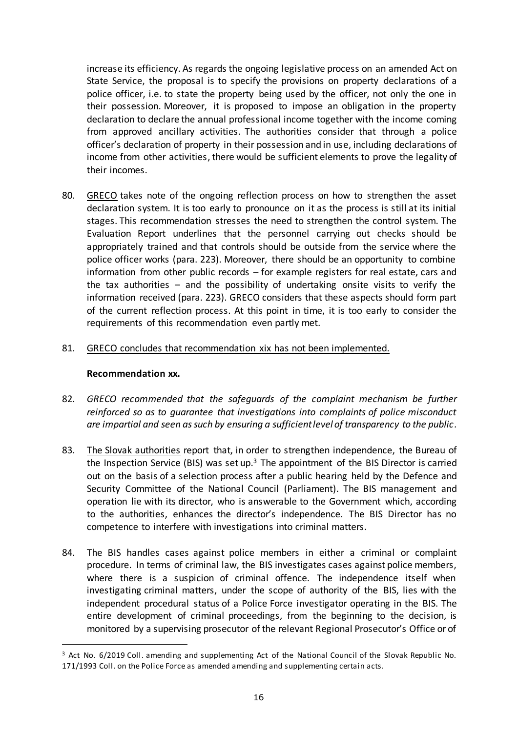increase its efficiency. As regards the ongoing legislative process on an amended Act on State Service, the proposal is to specify the provisions on property declarations of a police officer, i.e. to state the property being used by the officer, not only the one in their possession. Moreover, it is proposed to impose an obligation in the property declaration to declare the annual professional income together with the income coming from approved ancillary activities. The authorities consider that through a police officer's declaration of property in their possession and in use, including declarations of income from other activities, there would be sufficient elements to prove the legality of their incomes.

- 80. GRECO takes note of the ongoing reflection process on how to strengthen the asset declaration system. It is too early to pronounce on it as the process is still at its initial stages. This recommendation stresses the need to strengthen the control system. The Evaluation Report underlines that the personnel carrying out checks should be appropriately trained and that controls should be outside from the service where the police officer works (para. 223). Moreover, there should be an opportunity to combine information from other public records – for example registers for real estate, cars and the tax authorities – and the possibility of undertaking onsite visits to verify the information received (para. 223). GRECO considers that these aspects should form part of the current reflection process. At this point in time, it is too early to consider the requirements of this recommendation even partly met.
- 81. GRECO concludes that recommendation xix has not been implemented.

#### **Recommendation xx.**

 $\overline{a}$ 

- 82. *GRECO recommended that the safeguards of the complaint mechanism be further reinforced so as to guarantee that investigations into complaints of police misconduct are impartial and seen as such by ensuring a sufficient level of transparency to the public.*
- 83. The Slovak authorities report that, in order to strengthen independence, the Bureau of the Inspection Service (BIS) was set up.<sup>3</sup> The appointment of the BIS Director is carried out on the basis of a selection process after a public hearing held by the Defence and Security Committee of the National Council (Parliament). The BIS management and operation lie with its director, who is answerable to the Government which, according to the authorities, enhances the director's independence. The BIS Director has no competence to interfere with investigations into criminal matters.
- 84. The BIS handles cases against police members in either a criminal or complaint procedure. In terms of criminal law, the BIS investigates cases against police members, where there is a suspicion of criminal offence. The independence itself when investigating criminal matters, under the scope of authority of the BIS, lies with the independent procedural status of a Police Force investigator operating in the BIS. The entire development of criminal proceedings, from the beginning to the decision, is monitored by a supervising prosecutor of the relevant Regional Prosecutor's Office or of

<sup>3</sup> Act No. 6/2019 Coll. amending and supplementing Act of the National Council of the Slovak Republic No. 171/1993 Coll. on the Police Force as amended amending and supplementing certain acts.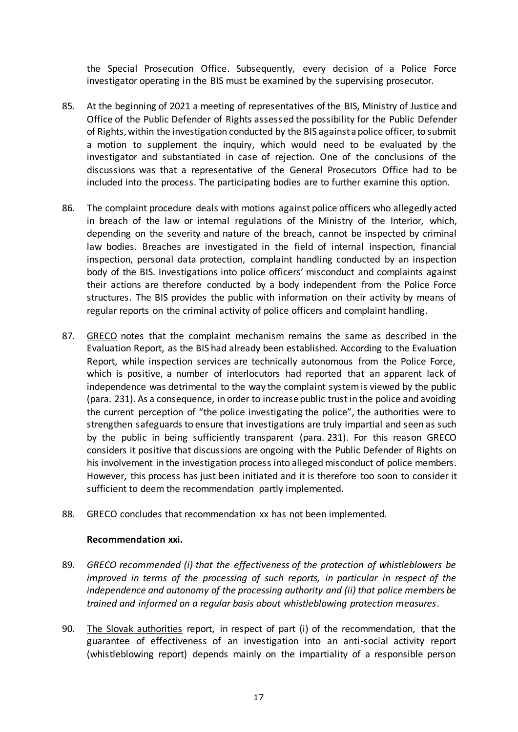the Special Prosecution Office. Subsequently, every decision of a Police Force investigator operating in the BIS must be examined by the supervising prosecutor.

- 85. At the beginning of 2021 a meeting of representatives of the BIS, Ministry of Justice and Office of the Public Defender of Rights assessed the possibility for the Public Defender of Rights, within the investigation conducted by the BIS against a police officer, to submit a motion to supplement the inquiry, which would need to be evaluated by the investigator and substantiated in case of rejection. One of the conclusions of the discussions was that a representative of the General Prosecutors Office had to be included into the process. The participating bodies are to further examine this option.
- 86. The complaint procedure deals with motions against police officers who allegedly acted in breach of the law or internal regulations of the Ministry of the Interior, which, depending on the severity and nature of the breach, cannot be inspected by criminal law bodies. Breaches are investigated in the field of internal inspection, financial inspection, personal data protection, complaint handling conducted by an inspection body of the BIS. Investigations into police officers' misconduct and complaints against their actions are therefore conducted by a body independent from the Police Force structures. The BIS provides the public with information on their activity by means of regular reports on the criminal activity of police officers and complaint handling.
- 87. GRECO notes that the complaint mechanism remains the same as described in the Evaluation Report, as the BIS had already been established. According to the Evaluation Report, while inspection services are technically autonomous from the Police Force, which is positive, a number of interlocutors had reported that an apparent lack of independence was detrimental to the way the complaint system is viewed by the public (para. 231). As a consequence, in order to increase public trust in the police and avoiding the current perception of "the police investigating the police", the authorities were to strengthen safeguards to ensure that investigations are truly impartial and seen as such by the public in being sufficiently transparent (para. 231). For this reason GRECO considers it positive that discussions are ongoing with the Public Defender of Rights on his involvement in the investigation process into alleged misconduct of police members. However, this process has just been initiated and it is therefore too soon to consider it sufficient to deem the recommendation partly implemented.

# 88. GRECO concludes that recommendation xx has not been implemented.

#### **Recommendation xxi.**

- 89. *GRECO recommended (i) that the effectiveness of the protection of whistleblowers be improved in terms of the processing of such reports, in particular in respect of the independence and autonomy of the processing authority and (ii) that police members be trained and informed on a regular basis about whistleblowing protection measures*.
- 90. The Slovak authorities report, in respect of part (i) of the recommendation, that the guarantee of effectiveness of an investigation into an anti-social activity report (whistleblowing report) depends mainly on the impartiality of a responsible person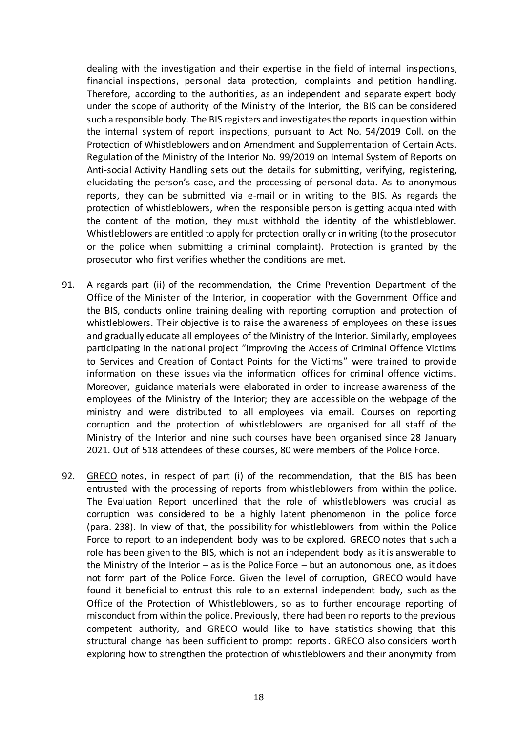dealing with the investigation and their expertise in the field of internal inspections, financial inspections, personal data protection, complaints and petition handling. Therefore, according to the authorities, as an independent and separate expert body under the scope of authority of the Ministry of the Interior, the BIS can be considered such a responsible body. The BIS registers and investigates the reports in question within the internal system of report inspections, pursuant to Act No. 54/2019 Coll. on the Protection of Whistleblowers and on Amendment and Supplementation of Certain Acts. Regulation of the Ministry of the Interior No. 99/2019 on Internal System of Reports on Anti-social Activity Handling sets out the details for submitting, verifying, registering, elucidating the person's case, and the processing of personal data. As to anonymous reports, they can be submitted via e-mail or in writing to the BIS. As regards the protection of whistleblowers, when the responsible person is getting acquainted with the content of the motion, they must withhold the identity of the whistleblower. Whistleblowers are entitled to apply for protection orally or in writing (to the prosecutor or the police when submitting a criminal complaint). Protection is granted by the prosecutor who first verifies whether the conditions are met.

- 91. A regards part (ii) of the recommendation, the Crime Prevention Department of the Office of the Minister of the Interior, in cooperation with the Government Office and the BIS, conducts online training dealing with reporting corruption and protection of whistleblowers. Their objective is to raise the awareness of employees on these issues and gradually educate all employees of the Ministry of the Interior. Similarly, employees participating in the national project "Improving the Access of Criminal Offence Victims to Services and Creation of Contact Points for the Victims" were trained to provide information on these issues via the information offices for criminal offence victims. Moreover, guidance materials were elaborated in order to increase awareness of the employees of the Ministry of the Interior; they are accessible on the webpage of the ministry and were distributed to all employees via email. Courses on reporting corruption and the protection of whistleblowers are organised for all staff of the Ministry of the Interior and nine such courses have been organised since 28 January 2021. Out of 518 attendees of these courses, 80 were members of the Police Force.
- 92. GRECO notes, in respect of part (i) of the recommendation, that the BIS has been entrusted with the processing of reports from whistleblowers from within the police. The Evaluation Report underlined that the role of whistleblowers was crucial as corruption was considered to be a highly latent phenomenon in the police force (para. 238). In view of that, the possibility for whistleblowers from within the Police Force to report to an independent body was to be explored. GRECO notes that such a role has been given to the BIS, which is not an independent body as it is answerable to the Ministry of the Interior  $-$  as is the Police Force  $-$  but an autonomous one, as it does not form part of the Police Force. Given the level of corruption, GRECO would have found it beneficial to entrust this role to an external independent body, such as the Office of the Protection of Whistleblowers, so as to further encourage reporting of misconduct from within the police. Previously, there had been no reports to the previous competent authority, and GRECO would like to have statistics showing that this structural change has been sufficient to prompt reports. GRECO also considers worth exploring how to strengthen the protection of whistleblowers and their anonymity from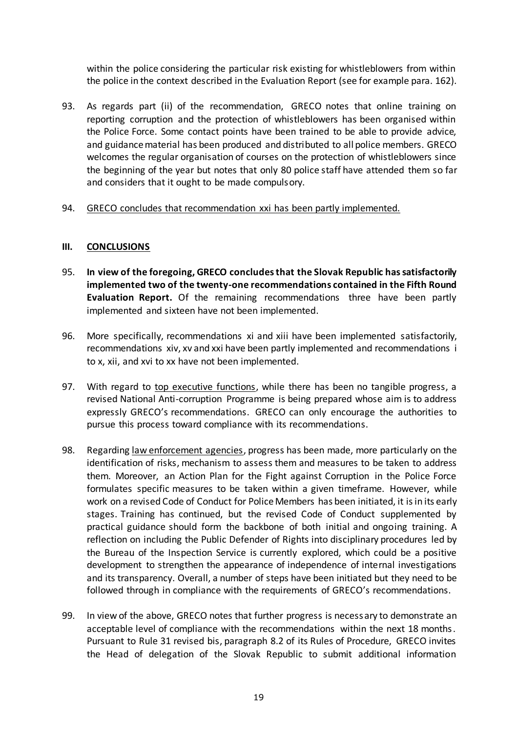within the police considering the particular risk existing for whistleblowers from within the police in the context described in the Evaluation Report (see for example para. 162).

- 93. As regards part (ii) of the recommendation, GRECO notes that online training on reporting corruption and the protection of whistleblowers has been organised within the Police Force. Some contact points have been trained to be able to provide advice, and guidance material has been produced and distributed to all police members. GRECO welcomes the regular organisation of courses on the protection of whistleblowers since the beginning of the year but notes that only 80 police staff have attended them so far and considers that it ought to be made compulsory.
- 94. GRECO concludes that recommendation xxi has been partly implemented.

# **III. CONCLUSIONS**

- 95. **In view of the foregoing, GRECO concludes that the Slovak Republic hassatisfactorily implemented two of the twenty-one recommendations contained in the Fifth Round Evaluation Report.** Of the remaining recommendations three have been partly implemented and sixteen have not been implemented.
- 96. More specifically, recommendations xi and xiii have been implemented satisfactorily, recommendations xiv, xv and xxi have been partly implemented and recommendations i to x, xii, and xvi to xx have not been implemented.
- 97. With regard to top executive functions, while there has been no tangible progress, a revised National Anti-corruption Programme is being prepared whose aim is to address expressly GRECO's recommendations. GRECO can only encourage the authorities to pursue this process toward compliance with its recommendations.
- 98. Regarding law enforcement agencies, progress has been made, more particularly on the identification of risks, mechanism to assess them and measures to be taken to address them. Moreover, an Action Plan for the Fight against Corruption in the Police Force formulates specific measures to be taken within a given timeframe. However, while work on a revised Code of Conduct for Police Members has been initiated, it is in its early stages. Training has continued, but the revised Code of Conduct supplemented by practical guidance should form the backbone of both initial and ongoing training. A reflection on including the Public Defender of Rights into disciplinary procedures led by the Bureau of the Inspection Service is currently explored, which could be a positive development to strengthen the appearance of independence of internal investigations and its transparency. Overall, a number of steps have been initiated but they need to be followed through in compliance with the requirements of GRECO's recommendations.
- 99. In view of the above, GRECO notes that further progress is necessary to demonstrate an acceptable level of compliance with the recommendations within the next 18 months. Pursuant to Rule 31 revised bis, paragraph 8.2 of its Rules of Procedure, GRECO invites the Head of delegation of the Slovak Republic to submit additional information